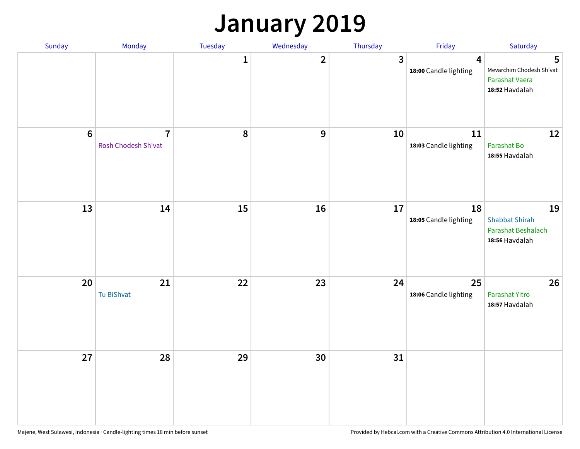### **January 2019**

| Sunday | Monday                                | Tuesday      | Wednesday    | Thursday                | Friday                                           | Saturday                                                            |
|--------|---------------------------------------|--------------|--------------|-------------------------|--------------------------------------------------|---------------------------------------------------------------------|
|        |                                       | $\mathbf{1}$ | $\mathbf{2}$ | $\overline{\mathbf{3}}$ | $\overline{\mathbf{4}}$<br>18:00 Candle lighting | 5<br>Mevarchim Chodesh Sh'vat<br>Parashat Vaera<br>18:52 Havdalah   |
| $6\,$  | $\overline{7}$<br>Rosh Chodesh Sh'vat | 8            | 9            | 10                      | 11<br>18:03 Candle lighting                      | 12<br>Parashat Bo<br>18:55 Havdalah                                 |
| 13     | 14                                    | 15           | 16           | 17                      | 18<br>18:05 Candle lighting                      | 19<br><b>Shabbat Shirah</b><br>Parashat Beshalach<br>18:56 Havdalah |
| 20     | 21<br>Tu BiShvat                      | 22           | 23           | 24                      | 25<br>18:06 Candle lighting                      | 26<br>Parashat Yitro<br>18:57 Havdalah                              |
| 27     | 28                                    | 29           | 30           | 31                      |                                                  |                                                                     |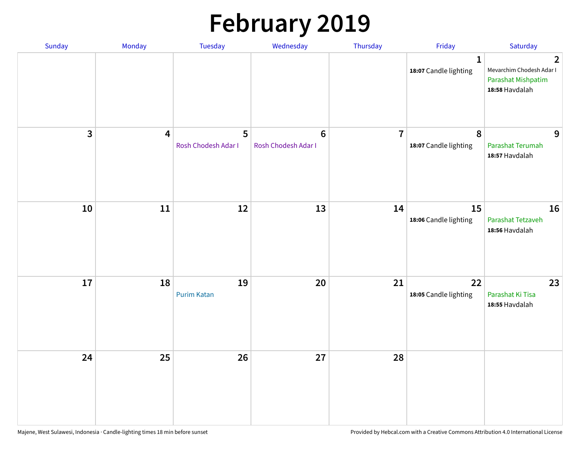# **February 2019**

| Sunday | Monday                  | Tuesday                  | Wednesday                      | Thursday       | Friday                                    | Saturday                                                                           |
|--------|-------------------------|--------------------------|--------------------------------|----------------|-------------------------------------------|------------------------------------------------------------------------------------|
|        |                         |                          |                                |                | $\mathbf{1}$<br>18:07 Candle lighting     | $\overline{2}$<br>Mevarchim Chodesh Adar I<br>Parashat Mishpatim<br>18:58 Havdalah |
| 3      | $\overline{\mathbf{4}}$ | 5<br>Rosh Chodesh Adar I | $\bf 6$<br>Rosh Chodesh Adar I | $\overline{7}$ | $\boldsymbol{8}$<br>18:07 Candle lighting | 9<br>Parashat Terumah<br>18:57 Havdalah                                            |
| 10     | $11\,$                  | 12                       | 13                             | 14             | 15<br>18:06 Candle lighting               | 16<br>Parashat Tetzaveh<br>18:56 Havdalah                                          |
| 17     | 18                      | 19<br><b>Purim Katan</b> | 20                             | 21             | 22<br>18:05 Candle lighting               | 23<br>Parashat Ki Tisa<br>18:55 Havdalah                                           |
| 24     | 25                      | 26                       | 27                             | 28             |                                           |                                                                                    |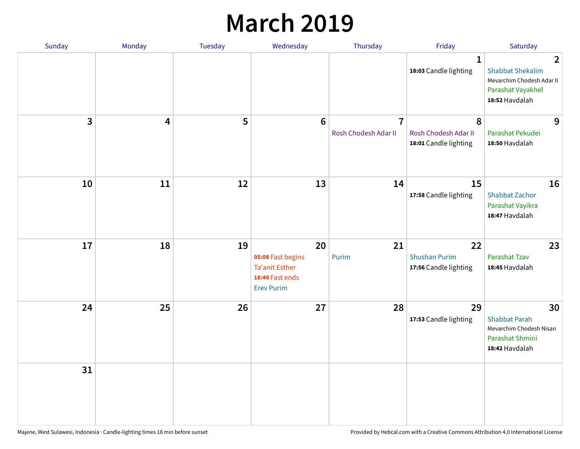### **March 2019**

| Sunday         | Monday | Tuesday | Wednesday                                                                                | Thursday                               | Friday                                              | Saturday                                                                                                      |
|----------------|--------|---------|------------------------------------------------------------------------------------------|----------------------------------------|-----------------------------------------------------|---------------------------------------------------------------------------------------------------------------|
|                |        |         |                                                                                          |                                        | $\mathbf{1}$<br>18:03 Candle lighting               | $\overline{2}$<br><b>Shabbat Shekalim</b><br>Mevarchim Chodesh Adar II<br>Parashat Vayakhel<br>18:52 Havdalah |
| $\overline{3}$ | 4      | 5       | $6\phantom{1}6$                                                                          | $\overline{7}$<br>Rosh Chodesh Adar II | 8<br>Rosh Chodesh Adar II<br>18:01 Candle lighting  | 9<br>Parashat Pekudei<br>18:50 Havdalah                                                                       |
| 10             | 11     | 12      | 13                                                                                       | 14                                     | 15<br>17:58 Candle lighting                         | 16<br><b>Shabbat Zachor</b><br>Parashat Vayikra<br>18:47 Havdalah                                             |
| 17             | 18     | 19      | 20<br>05:08 Fast begins<br><b>Ta'anit Esther</b><br>18:40 Fast ends<br><b>Erev Purim</b> | 21<br>Purim                            | 22<br><b>Shushan Purim</b><br>17:56 Candle lighting | 23<br>Parashat Tzav<br>18:45 Havdalah                                                                         |
| 24             | 25     | 26      | 27                                                                                       | 28                                     | 29<br>17:53 Candle lighting                         | 30<br><b>Shabbat Parah</b><br>Mevarchim Chodesh Nisan<br>Parashat Shmini<br>18:42 Havdalah                    |
| 31             |        |         |                                                                                          |                                        |                                                     |                                                                                                               |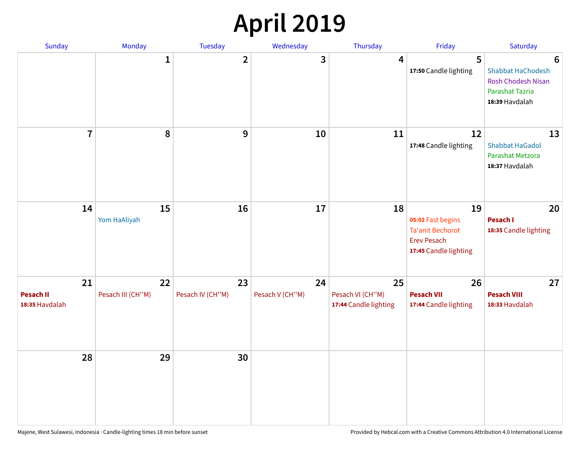# **April 2019**

| Sunday                                   | Monday                  | Tuesday                | Wednesday             | Thursday                                        | Friday                                                                                            | Saturday                                                                                 |
|------------------------------------------|-------------------------|------------------------|-----------------------|-------------------------------------------------|---------------------------------------------------------------------------------------------------|------------------------------------------------------------------------------------------|
|                                          | $\mathbf{1}$            | $\overline{2}$         | 3                     | $\overline{4}$                                  | 5<br>17:50 Candle lighting                                                                        | 6<br>Shabbat HaChodesh<br><b>Rosh Chodesh Nisan</b><br>Parashat Tazria<br>18:39 Havdalah |
| $\overline{7}$                           | 8                       | $\boldsymbol{9}$       | 10                    | 11                                              | 12<br>17:48 Candle lighting                                                                       | 13<br><b>Shabbat HaGadol</b><br>Parashat Metzora<br>18:37 Havdalah                       |
| 14                                       | 15<br>Yom HaAliyah      | 16                     | 17                    | 18                                              | 19<br>05:02 Fast begins<br><b>Ta'anit Bechorot</b><br><b>Erev Pesach</b><br>17:45 Candle lighting | 20<br>Pesach I<br>18:35 Candle lighting                                                  |
| 21<br><b>Pesach II</b><br>18:35 Havdalah | 22<br>Pesach III (CH"M) | 23<br>Pesach IV (CH"M) | 24<br>Pesach V (CH"M) | 25<br>Pesach VI (CH"M)<br>17:44 Candle lighting | 26<br><b>Pesach VII</b><br>17:44 Candle lighting                                                  | 27<br><b>Pesach VIII</b><br>18:33 Havdalah                                               |
| 28                                       | 29                      | 30                     |                       |                                                 |                                                                                                   |                                                                                          |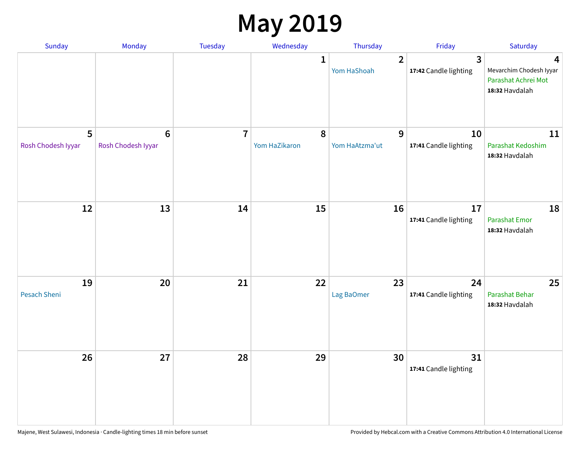### **May 2019**

| Sunday                  | Monday                                | Tuesday        | Wednesday                  | Thursday                      | Friday                                  | Saturday                                                              |
|-------------------------|---------------------------------------|----------------|----------------------------|-------------------------------|-----------------------------------------|-----------------------------------------------------------------------|
|                         |                                       |                | 1                          | $\overline{2}$<br>Yom HaShoah | $\overline{3}$<br>17:42 Candle lighting | 4<br>Mevarchim Chodesh Iyyar<br>Parashat Achrei Mot<br>18:32 Havdalah |
| 5<br>Rosh Chodesh Iyyar | $6\phantom{1}6$<br>Rosh Chodesh Iyyar | $\overline{7}$ | $\pmb{8}$<br>Yom HaZikaron | 9<br>Yom HaAtzma'ut           | 10<br>17:41 Candle lighting             | 11<br>Parashat Kedoshim<br>18:32 Havdalah                             |
| 12                      | 13                                    | 14             | 15                         | 16                            | 17<br>17:41 Candle lighting             | 18<br>Parashat Emor<br>18:32 Havdalah                                 |
| 19<br>Pesach Sheni      | 20                                    | 21             | 22                         | 23<br>Lag BaOmer              | 24<br>17:41 Candle lighting             | 25<br>Parashat Behar<br>18:32 Havdalah                                |
| 26                      | 27                                    | 28             | 29                         | 30                            | 31<br>17:41 Candle lighting             |                                                                       |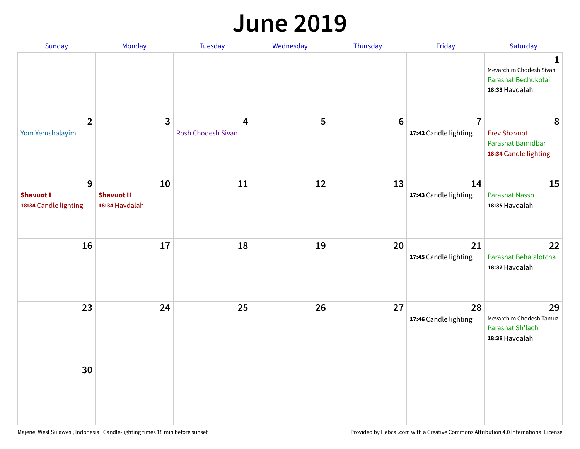#### **June 2019**

| Sunday                                         | Monday                                    | Tuesday                        | Wednesday | Thursday        | Friday                                  | Saturday                                                               |
|------------------------------------------------|-------------------------------------------|--------------------------------|-----------|-----------------|-----------------------------------------|------------------------------------------------------------------------|
|                                                |                                           |                                |           |                 |                                         | 1<br>Mevarchim Chodesh Sivan<br>Parashat Bechukotai<br>18:33 Havdalah  |
| $\overline{2}$<br>Yom Yerushalayim             | $\mathbf{3}$                              | 4<br><b>Rosh Chodesh Sivan</b> | 5         | $6\phantom{1}6$ | $\overline{7}$<br>17:42 Candle lighting | 8<br><b>Erev Shavuot</b><br>Parashat Bamidbar<br>18:34 Candle lighting |
| 9<br><b>Shavuot I</b><br>18:34 Candle lighting | 10<br><b>Shavuot II</b><br>18:34 Havdalah | 11                             | 12        | 13              | 14<br>17:43 Candle lighting             | 15<br><b>Parashat Nasso</b><br>18:35 Havdalah                          |
| 16                                             | 17                                        | 18                             | 19        | 20              | 21<br>17:45 Candle lighting             | 22<br>Parashat Beha'alotcha<br>18:37 Havdalah                          |
| 23                                             | 24                                        | 25                             | 26        | 27              | 28<br>17:46 Candle lighting             | 29<br>Mevarchim Chodesh Tamuz<br>Parashat Sh'lach<br>18:38 Havdalah    |
| 30                                             |                                           |                                |           |                 |                                         |                                                                        |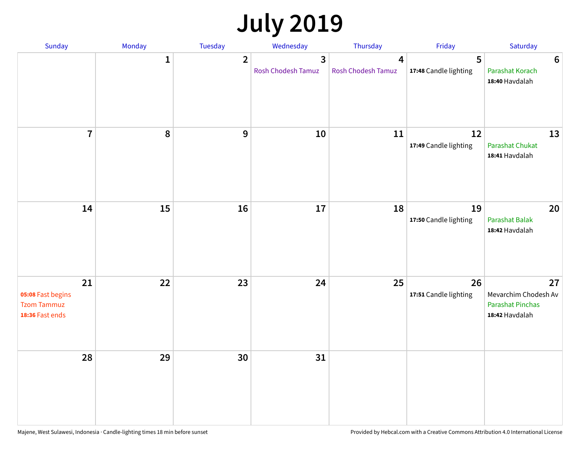# **July 2019**

| Sunday                                                           | Monday       | Tuesday        | Wednesday                            | Thursday                             | Friday                      | Saturday                                                                |
|------------------------------------------------------------------|--------------|----------------|--------------------------------------|--------------------------------------|-----------------------------|-------------------------------------------------------------------------|
|                                                                  | $\mathbf{1}$ | $\overline{2}$ | $\overline{3}$<br>Rosh Chodesh Tamuz | $\overline{4}$<br>Rosh Chodesh Tamuz | 5<br>17:48 Candle lighting  | $6\phantom{1}6$<br>Parashat Korach<br>18:40 Havdalah                    |
| $\overline{7}$                                                   | 8            | 9              | 10                                   | 11                                   | 12<br>17:49 Candle lighting | 13<br><b>Parashat Chukat</b><br>18:41 Havdalah                          |
| 14                                                               | 15           | 16             | 17                                   | 18                                   | 19<br>17:50 Candle lighting | 20<br><b>Parashat Balak</b><br>18:42 Havdalah                           |
| 21<br>05:08 Fast begins<br><b>Tzom Tammuz</b><br>18:36 Fast ends | 22           | 23             | 24                                   | 25                                   | 26<br>17:51 Candle lighting | 27<br>Mevarchim Chodesh Av<br><b>Parashat Pinchas</b><br>18:42 Havdalah |
| 28                                                               | 29           | 30             | 31                                   |                                      |                             |                                                                         |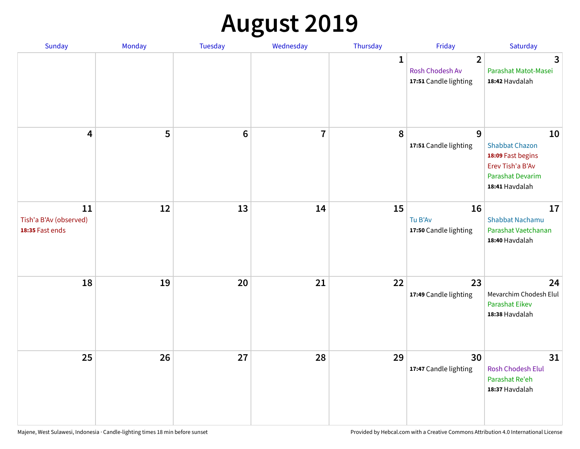# **August 2019**

| Sunday                                          | Monday | Tuesday         | Wednesday               | Thursday     | Friday                                                     | Saturday                                                                                                   |
|-------------------------------------------------|--------|-----------------|-------------------------|--------------|------------------------------------------------------------|------------------------------------------------------------------------------------------------------------|
|                                                 |        |                 |                         | $\mathbf{1}$ | $\overline{2}$<br>Rosh Chodesh Av<br>17:51 Candle lighting | $\overline{3}$<br>Parashat Matot-Masei<br>18:42 Havdalah                                                   |
| $\overline{\mathbf{4}}$                         | 5      | $6\phantom{1}6$ | $\overline{\mathbf{I}}$ | 8            | 9<br>17:51 Candle lighting                                 | 10<br><b>Shabbat Chazon</b><br>18:09 Fast begins<br>Erev Tish'a B'Av<br>Parashat Devarim<br>18:41 Havdalah |
| 11<br>Tish'a B'Av (observed)<br>18:35 Fast ends | 12     | 13              | 14                      | 15           | 16<br>Tu B'Av<br>17:50 Candle lighting                     | 17<br><b>Shabbat Nachamu</b><br>Parashat Vaetchanan<br>18:40 Havdalah                                      |
| 18                                              | 19     | 20              | 21                      | 22           | 23<br>17:49 Candle lighting                                | 24<br>Mevarchim Chodesh Elul<br><b>Parashat Eikev</b><br>18:38 Havdalah                                    |
| 25                                              | 26     | 27              | 28                      | 29           | 30<br>17:47 Candle lighting                                | 31<br><b>Rosh Chodesh Elul</b><br>Parashat Re'eh<br>18:37 Havdalah                                         |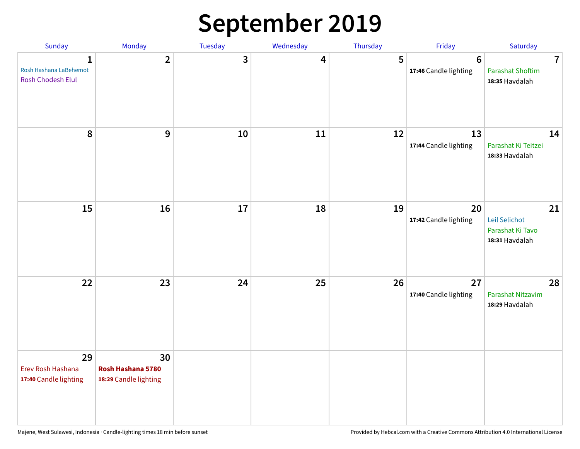### **September 2019**

| Sunday                                                      | Monday                                           | Tuesday | Wednesday | Thursday | Friday                                   | Saturday                                                             |
|-------------------------------------------------------------|--------------------------------------------------|---------|-----------|----------|------------------------------------------|----------------------------------------------------------------------|
| $\mathbf{1}$<br>Rosh Hashana LaBehemot<br>Rosh Chodesh Elul | $\overline{2}$                                   | 3       | 4         | 5        | $6\phantom{1}6$<br>17:46 Candle lighting | $\overline{\mathbf{7}}$<br><b>Parashat Shoftim</b><br>18:35 Havdalah |
| 8                                                           | 9                                                | 10      | 11        | 12       | 13<br>17:44 Candle lighting              | 14<br>Parashat Ki Teitzei<br>18:33 Havdalah                          |
| 15                                                          | 16                                               | 17      | 18        | 19       | 20<br>17:42 Candle lighting              | 21<br>Leil Selichot<br>Parashat Ki Tavo<br>18:31 Havdalah            |
| 22                                                          | 23                                               | 24      | 25        | 26       | 27<br>17:40 Candle lighting              | 28<br>Parashat Nitzavim<br>18:29 Havdalah                            |
| 29<br>Erev Rosh Hashana<br>17:40 Candle lighting            | 30<br>Rosh Hashana 5780<br>18:29 Candle lighting |         |           |          |                                          |                                                                      |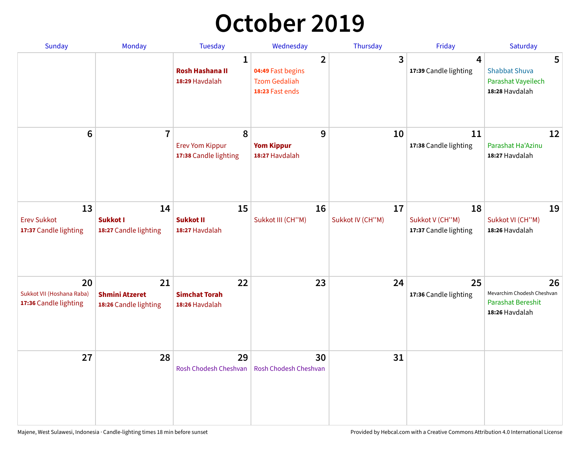# **October 2019**

| <b>Sunday</b>                                            | <b>Monday</b>                                        | <b>Tuesday</b>                                           | Wednesday                                                                      | Thursday               | Friday                                         | Saturday                                                                       |
|----------------------------------------------------------|------------------------------------------------------|----------------------------------------------------------|--------------------------------------------------------------------------------|------------------------|------------------------------------------------|--------------------------------------------------------------------------------|
|                                                          |                                                      | $\mathbf{1}$<br><b>Rosh Hashana II</b><br>18:29 Havdalah | $\overline{2}$<br>04:49 Fast begins<br><b>Tzom Gedaliah</b><br>18:23 Fast ends | 3                      | $\overline{4}$<br>17:39 Candle lighting        | 5<br><b>Shabbat Shuva</b><br>Parashat Vayeilech<br>18:28 Havdalah              |
| $6\phantom{1}$                                           | $\overline{7}$                                       | 8<br><b>Erev Yom Kippur</b><br>17:38 Candle lighting     | 9<br><b>Yom Kippur</b><br>18:27 Havdalah                                       | 10                     | 11<br>17:38 Candle lighting                    | 12<br>Parashat Ha'Azinu<br>18:27 Havdalah                                      |
| 13<br><b>Erev Sukkot</b><br>17:37 Candle lighting        | 14<br>Sukkot I<br>18:27 Candle lighting              | 15<br><b>Sukkot II</b><br>18:27 Havdalah                 | 16<br>Sukkot III (CH"M)                                                        | 17<br>Sukkot IV (CH"M) | 18<br>Sukkot V (CH"M)<br>17:37 Candle lighting | 19<br>Sukkot VI (CH"M)<br>18:26 Havdalah                                       |
| 20<br>Sukkot VII (Hoshana Raba)<br>17:36 Candle lighting | 21<br><b>Shmini Atzeret</b><br>18:26 Candle lighting | 22<br><b>Simchat Torah</b><br>18:26 Havdalah             | 23                                                                             | 24                     | 25<br>17:36 Candle lighting                    | 26<br>Mevarchim Chodesh Cheshvan<br><b>Parashat Bereshit</b><br>18:26 Havdalah |
| 27                                                       | 28                                                   | 29<br>Rosh Chodesh Cheshvan                              | 30<br>Rosh Chodesh Cheshvan                                                    | 31                     |                                                |                                                                                |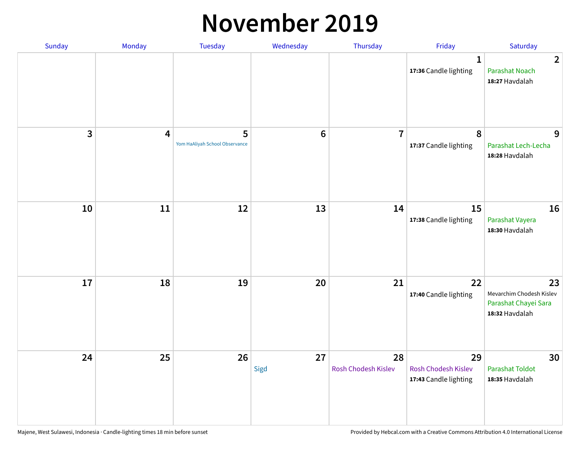#### **November 2019**

| Sunday | Monday                  | Tuesday                             | Wednesday  | Thursday                  | Friday                                                    | Saturday                                                                 |
|--------|-------------------------|-------------------------------------|------------|---------------------------|-----------------------------------------------------------|--------------------------------------------------------------------------|
|        |                         |                                     |            |                           | 1<br>17:36 Candle lighting                                | $\overline{2}$<br><b>Parashat Noach</b><br>18:27 Havdalah                |
| 3      | $\overline{\mathbf{4}}$ | 5<br>Yom HaAliyah School Observance | $\bf 6$    | $\overline{7}$            | 8<br>17:37 Candle lighting                                | 9<br>Parashat Lech-Lecha<br>18:28 Havdalah                               |
| 10     | $11\,$                  | 12                                  | 13         | 14                        | 15<br>17:38 Candle lighting                               | 16<br>Parashat Vayera<br>18:30 Havdalah                                  |
| 17     | 18                      | 19                                  | 20         | 21                        | 22<br>17:40 Candle lighting                               | 23<br>Mevarchim Chodesh Kislev<br>Parashat Chayei Sara<br>18:32 Havdalah |
| 24     | 25                      | 26                                  | 27<br>Sigd | 28<br>Rosh Chodesh Kislev | 29<br><b>Rosh Chodesh Kislev</b><br>17:43 Candle lighting | 30<br><b>Parashat Toldot</b><br>18:35 Havdalah                           |